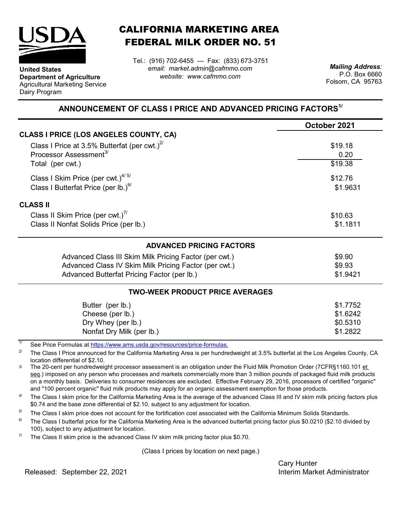

**Department of Agriculture** Agricultural Marketing Service

**United States**

Dairy Program

CALIFORNIA MARKETING AREA FEDERAL MILK ORDER NO. 51

*email: market.admin@cafmmo.com website: www.cafmmo.com* Tel.: (916) 702-6455 — Fax: (833) 673-3751 *Mailing Address:*

P.O. Box 6660 Folsom, CA 95763

## **ANNOUNCEMENT OF CLASS I PRICE AND ADVANCED PRICING FACTORS1/**

| October 2021 |
|--------------|
|              |
| \$19.18      |
| 0.20         |
| \$19.38      |
| \$12.76      |
| \$1.9631     |
|              |
| \$10.63      |
| \$1.1811     |
|              |
| \$9.90       |
| \$9.93       |
| \$1.9421     |
|              |
| \$1.7752     |
| \$1.6242     |
| \$0.5310     |
| \$1.2822     |
|              |

1/ [See Price Formulas at h](https://www.ams.usda.gov/resources/price-formulas)ttps://www.ams.usda.gov/resources/price-formulas.

2/ The Class I Price announced for the California Marketing Area is per hundredweight at 3.5% butterfat at the Los Angeles County, CA location differential of \$2.10.

3/ The 20-cent per hundredweight processor assessment is an obligation under the Fluid Milk Promotion Order (7CFR§1160.101 et seq.) imposed on any person who processes and markets commercially more than 3 million pounds of packaged fluid milk products on a monthly basis. Deliveries to consumer residences are excluded. Effective February 29, 2016, processors of certified "organic" and "100 percent organic" fluid milk products may apply for an organic assessment exemption for those products.

 $\Delta l$ The Class I skim price for the California Marketing Area is the average of the advanced Class III and IV skim milk pricing factors plus \$0.74 and the base zone differential of \$2.10, subject to any adjustment for location.

5/ The Class I skim price does not account for the fortification cost associated with the California Minimum Solids Standards.

 $6/$ The Class I butterfat price for the California Marketing Area is the advanced butterfat pricing factor plus \$0.0210 (\$2.10 divided by 100), subject to any adjustment for location.

7/ The Class II skim price is the advanced Class IV skim milk pricing factor plus \$0.70.

(Class I prices by location on next page.)

Cary Hunter

Released: Interim Market Administrator September 22, 2021